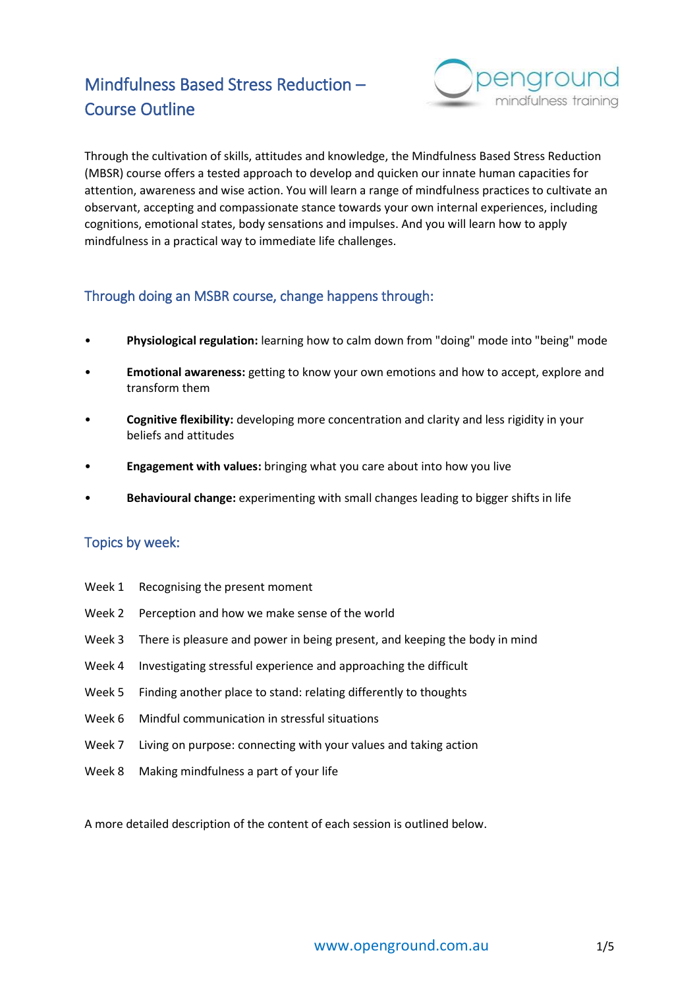# Mindfulness Based Stress Reduction – Course Outline



Through the cultivation of skills, attitudes and knowledge, the Mindfulness Based Stress Reduction (MBSR) course offers a tested approach to develop and quicken our innate human capacities for attention, awareness and wise action. You will learn a range of mindfulness practices to cultivate an observant, accepting and compassionate stance towards your own internal experiences, including cognitions, emotional states, body sensations and impulses. And you will learn how to apply mindfulness in a practical way to immediate life challenges.

# Through doing an MSBR course, change happens through:

- **Physiological regulation:** learning how to calm down from "doing" mode into "being" mode
- **Emotional awareness:** getting to know your own emotions and how to accept, explore and transform them
- **Cognitive flexibility:** developing more concentration and clarity and less rigidity in your beliefs and attitudes
- **Engagement with values:** bringing what you care about into how you live
- **Behavioural change:** experimenting with small changes leading to bigger shifts in life

# Topics by week:

- Week 1 Recognising the present moment
- Week 2 Perception and how we make sense of the world
- Week 3 There is pleasure and power in being present, and keeping the body in mind
- Week 4 Investigating stressful experience and approaching the difficult
- Week 5 Finding another place to stand: relating differently to thoughts
- Week 6 Mindful communication in stressful situations
- Week 7 Living on purpose: connecting with your values and taking action
- Week 8 Making mindfulness a part of your life

A more detailed description of the content of each session is outlined below.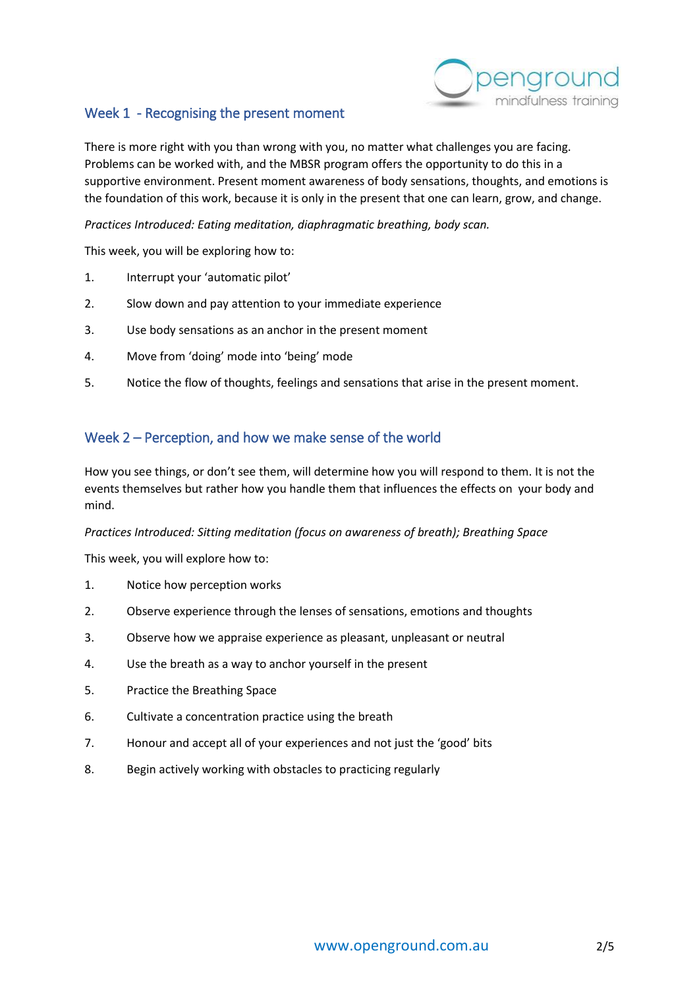

# Week 1 - Recognising the present moment

There is more right with you than wrong with you, no matter what challenges you are facing. Problems can be worked with, and the MBSR program offers the opportunity to do this in a supportive environment. Present moment awareness of body sensations, thoughts, and emotions is the foundation of this work, because it is only in the present that one can learn, grow, and change.

*Practices Introduced: Eating meditation, diaphragmatic breathing, body scan.*

This week, you will be exploring how to:

- 1. Interrupt your 'automatic pilot'
- 2. Slow down and pay attention to your immediate experience
- 3. Use body sensations as an anchor in the present moment
- 4. Move from 'doing' mode into 'being' mode
- 5. Notice the flow of thoughts, feelings and sensations that arise in the present moment.

### Week 2 – Perception, and how we make sense of the world

How you see things, or don't see them, will determine how you will respond to them. It is not the events themselves but rather how you handle them that influences the effects on your body and mind.

#### *Practices Introduced: Sitting meditation (focus on awareness of breath); Breathing Space*

This week, you will explore how to:

- 1. Notice how perception works
- 2. Observe experience through the lenses of sensations, emotions and thoughts
- 3. Observe how we appraise experience as pleasant, unpleasant or neutral
- 4. Use the breath as a way to anchor yourself in the present
- 5. Practice the Breathing Space
- 6. Cultivate a concentration practice using the breath
- 7. Honour and accept all of your experiences and not just the 'good' bits
- 8. Begin actively working with obstacles to practicing regularly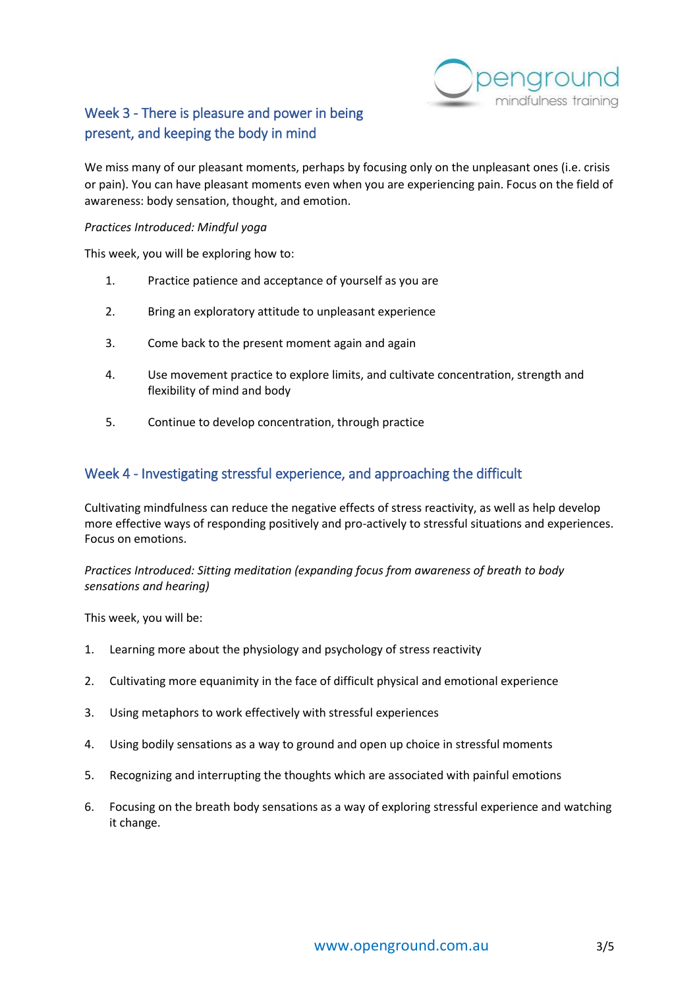

# Week 3 - There is pleasure and power in being present, and keeping the body in mind

We miss many of our pleasant moments, perhaps by focusing only on the unpleasant ones (i.e. crisis or pain). You can have pleasant moments even when you are experiencing pain. Focus on the field of awareness: body sensation, thought, and emotion.

#### *Practices Introduced: Mindful yoga*

This week, you will be exploring how to:

- 1. Practice patience and acceptance of yourself as you are
- 2. Bring an exploratory attitude to unpleasant experience
- 3. Come back to the present moment again and again
- 4. Use movement practice to explore limits, and cultivate concentration, strength and flexibility of mind and body
- 5. Continue to develop concentration, through practice

### Week 4 - Investigating stressful experience, and approaching the difficult

Cultivating mindfulness can reduce the negative effects of stress reactivity, as well as help develop more effective ways of responding positively and pro-actively to stressful situations and experiences. Focus on emotions.

*Practices Introduced: Sitting meditation (expanding focus from awareness of breath to body sensations and hearing)*

This week, you will be:

- 1. Learning more about the physiology and psychology of stress reactivity
- 2. Cultivating more equanimity in the face of difficult physical and emotional experience
- 3. Using metaphors to work effectively with stressful experiences
- 4. Using bodily sensations as a way to ground and open up choice in stressful moments
- 5. Recognizing and interrupting the thoughts which are associated with painful emotions
- 6. Focusing on the breath body sensations as a way of exploring stressful experience and watching it change.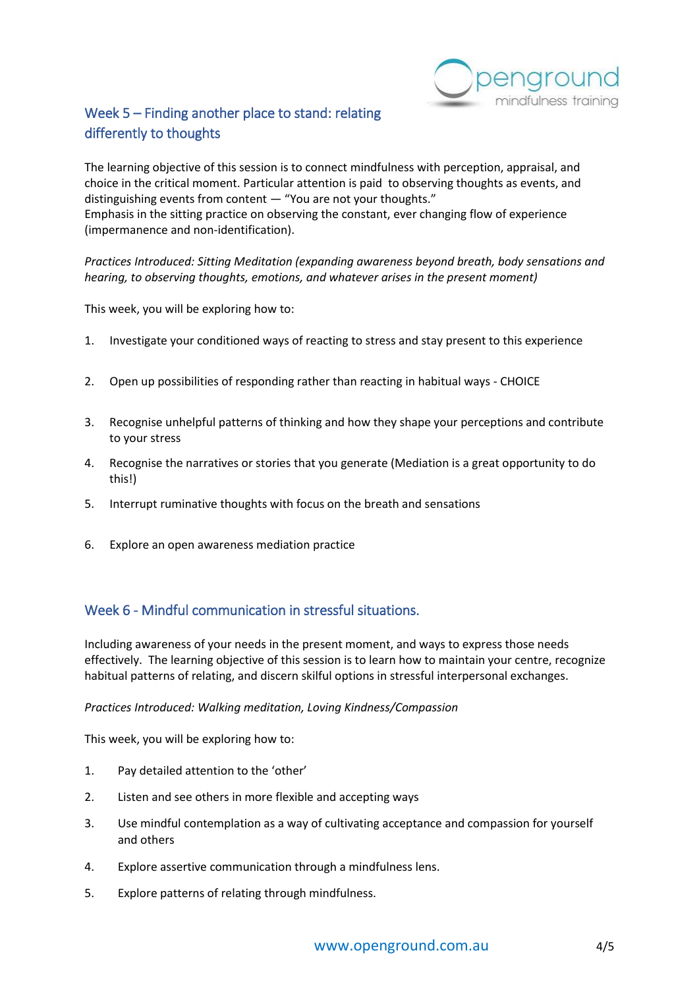

# Week 5 – Finding another place to stand: relating differently to thoughts

The learning objective of this session is to connect mindfulness with perception, appraisal, and choice in the critical moment. Particular attention is paid to observing thoughts as events, and distinguishing events from content — "You are not your thoughts." Emphasis in the sitting practice on observing the constant, ever changing flow of experience (impermanence and non-identification).

*Practices Introduced: Sitting Meditation (expanding awareness beyond breath, body sensations and hearing, to observing thoughts, emotions, and whatever arises in the present moment)*

This week, you will be exploring how to:

- 1. Investigate your conditioned ways of reacting to stress and stay present to this experience
- 2. Open up possibilities of responding rather than reacting in habitual ways CHOICE
- 3. Recognise unhelpful patterns of thinking and how they shape your perceptions and contribute to your stress
- 4. Recognise the narratives or stories that you generate (Mediation is a great opportunity to do this!)
- 5. Interrupt ruminative thoughts with focus on the breath and sensations
- 6. Explore an open awareness mediation practice

# Week 6 - Mindful communication in stressful situations.

Including awareness of your needs in the present moment, and ways to express those needs effectively. The learning objective of this session is to learn how to maintain your centre, recognize habitual patterns of relating, and discern skilful options in stressful interpersonal exchanges.

*Practices Introduced: Walking meditation, Loving Kindness/Compassion*

This week, you will be exploring how to:

- 1. Pay detailed attention to the 'other'
- 2. Listen and see others in more flexible and accepting ways
- 3. Use mindful contemplation as a way of cultivating acceptance and compassion for yourself and others
- 4. Explore assertive communication through a mindfulness lens.
- 5. Explore patterns of relating through mindfulness.